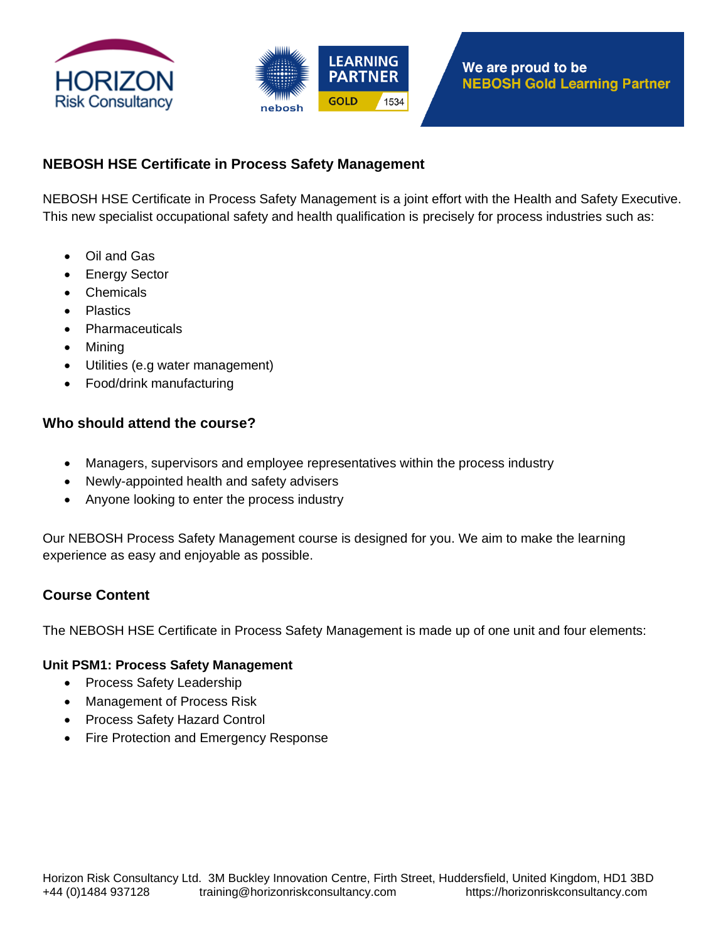



# **NEBOSH HSE Certificate in Process Safety Management**

NEBOSH HSE Certificate in Process Safety Management is a joint effort with the Health and Safety Executive. This new specialist occupational safety and health qualification is precisely for process industries such as:

- Oil and Gas
- **Energy Sector**
- Chemicals
- Plastics
- **Pharmaceuticals**
- Mining
- Utilities (e.g water management)
- Food/drink manufacturing

### **Who should attend the course?**

- Managers, supervisors and employee representatives within the process industry
- Newly-appointed health and safety advisers
- Anyone looking to enter the process industry

Our NEBOSH Process Safety Management course is designed for you. We aim to make the learning experience as easy and enjoyable as possible.

## **Course Content**

The NEBOSH HSE Certificate in Process Safety Management is made up of one unit and four elements:

#### **Unit PSM1: Process Safety Management**

- Process Safety Leadership
- Management of Process Risk
- Process Safety Hazard Control
- Fire Protection and Emergency Response